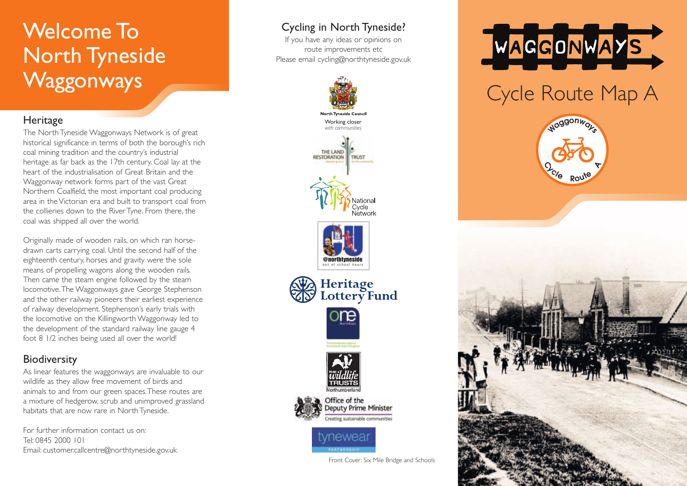## Welcome To North Tyneside **Waggonways**

#### **Heritage**

The North Tyneside Waggonways Network is of great historical significance in terms of both the borough's rich coal mining tradition and the country's industrial heritage as far back as the 17th century. Coal lay at the heart of the industrialisation of Great Britain and the Waggonway network forms part of the vast Great Northern Coalfield, the most important coal producing area in the Victorian era and built to transport coal from the collieries down to the River Tyne. From there, the coal was shipped all over the world.

Originally made of wooden rails, on which ran horsedrawn carts carrying coal. Until the second half of the eighteenth century, horses and gravity were the sole means of propelling wagons along the wooden rails. Then came the steam engine followed by the steam locomotive.The Waggonways gave George Stephenson and the other railway pioneers their earliest experience of railway development. Stephenson's early trials with the locomotive on the Killingworth Waggonway led to the development of the standard railway line gauge 4 foot 8 1/2 inches being used all over the world!

### **Biodiversity**

As linear features the waggonways are invaluable to our wildlife as they allow free movement of birds and animals to and from our green spaces.These routes are a mixture of hedgerow, scrub and unimproved grassland habitats that are now rare in North Tyneside.

For further information contact us on: Tel: 0845 2000 101 Email: customer.callcentre@northtyneside.gov.uk

### Cycling in North Tyneside?

If you have any ideas or opinions on route improvements etc Please email cycling@northtyneside.gov.uk





# Cycle Route Map A